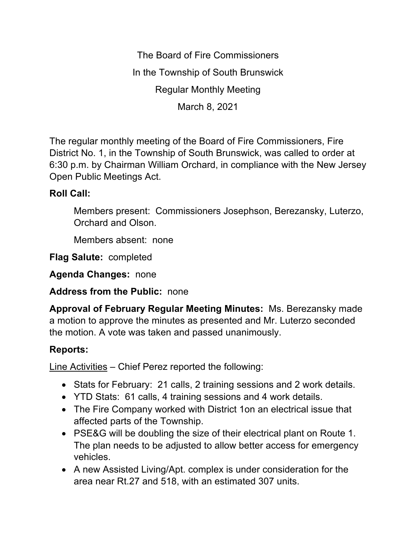The Board of Fire Commissioners In the Township of South Brunswick Regular Monthly Meeting March 8, 2021

The regular monthly meeting of the Board of Fire Commissioners, Fire District No. 1, in the Township of South Brunswick, was called to order at 6:30 p.m. by Chairman William Orchard, in compliance with the New Jersey Open Public Meetings Act.

## **Roll Call:**

Members present: Commissioners Josephson, Berezansky, Luterzo, Orchard and Olson.

Members absent: none

**Flag Salute:** completed

**Agenda Changes:** none

**Address from the Public:** none

**Approval of February Regular Meeting Minutes:** Ms. Berezansky made a motion to approve the minutes as presented and Mr. Luterzo seconded the motion. A vote was taken and passed unanimously.

## **Reports:**

Line Activities – Chief Perez reported the following:

- Stats for February: 21 calls, 2 training sessions and 2 work details.
- YTD Stats: 61 calls, 4 training sessions and 4 work details.
- The Fire Company worked with District 1on an electrical issue that affected parts of the Township.
- PSE&G will be doubling the size of their electrical plant on Route 1. The plan needs to be adjusted to allow better access for emergency vehicles.
- A new Assisted Living/Apt. complex is under consideration for the area near Rt.27 and 518, with an estimated 307 units.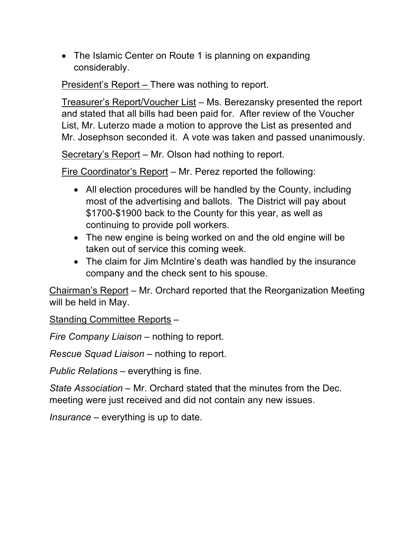• The Islamic Center on Route 1 is planning on expanding considerably.

President's Report – There was nothing to report.

Treasurer's Report/Voucher List – Ms. Berezansky presented the report and stated that all bills had been paid for. After review of the Voucher List, Mr. Luterzo made a motion to approve the List as presented and Mr. Josephson seconded it. A vote was taken and passed unanimously.

Secretary's Report – Mr. Olson had nothing to report.

Fire Coordinator's Report – Mr. Perez reported the following:

- All election procedures will be handled by the County, including most of the advertising and ballots. The District will pay about \$1700-\$1900 back to the County for this year, as well as continuing to provide poll workers.
- The new engine is being worked on and the old engine will be taken out of service this coming week.
- The claim for Jim McIntire's death was handled by the insurance company and the check sent to his spouse.

Chairman's Report – Mr. Orchard reported that the Reorganization Meeting will be held in May.

Standing Committee Reports –

*Fire Company Liaison –* nothing to report.

*Rescue Squad Liaison –* nothing to report.

*Public Relations –* everything is fine.

*State Association –* Mr. Orchard stated that the minutes from the Dec. meeting were just received and did not contain any new issues.

*Insurance –* everything is up to date.